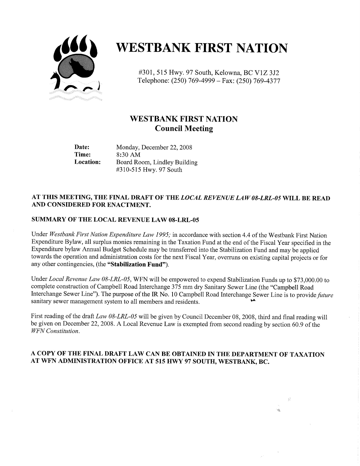

# **WESTBANK FIRST NATION**

#301, 515 Hwy. 97 South, Kelowna, BC V1Z 3J2 Telephone: (250) 769-4999 - Fax: (250) 769-4377

# WESTBANK FIRST NATION Council Meeting

Date: Monday, December 22, 2008<br>Time: 8:30 AM 8:30 AM Location: Board Room, Lindley Building 310 -515 Hwy. 97 South

### AT THIS MEETING, THE FINAL DRAFT OF THE LOCAL REVENUE LAW 08-LRL-05 WILL BE READ AND CONSIDERED FOR ENACTMENT,

### SUMMARY OF THE LOCAL REVENUE LAW 08-LRL-05

Under Westbank First Nation Expenditure Law 1995; in accordance with section 4.4 of the Westbank First Nation Expenditure Bylaw, all surplus monies remaining in the Taxation Fund at the end of the Fiscal Year specified in the Expenditure bylaw Annual Budget Schedule may be transferred into the Stabilization Fund and may be applied towards the operation and administration costs for the next Fiscal Year, overruns on existing capital projects or for any other contingencies, (the "Stabilization Fund").

Under Local Revenue Law 08-LRL-05, WFN will be empowered to expend Stabilization Funds up to \$73,000.00 to complete construction of Campbell Road Interchange 375 mm dry Sanitary Sewer Line (the "Campbell Road Interchange Sewer Line"). The purpose of the IR No. 10 Campbell Road Interchange Sewer Line is to provide *future* sanitary sewer management system to all members and residents.

First reading of the draft Law 08-LRL-05 will be given by Council December 08, 2008, third and final reading will be given on December 22, 2008. A Local Revenue Law is exempted from second reading by section 50.9 of the WFN Constitution.

### A COPY OF THE FINAL DRAFT LAW CAN BE OBTAINED IN THE DEPARTMENT OF TAXATION AT WFN ADMINISTRATION OFFICE AT 515 HWY 97 SOUTH, WESTBANK, BC.

 $\frac{1}{2} \frac{\lambda}{2}$ 

ng.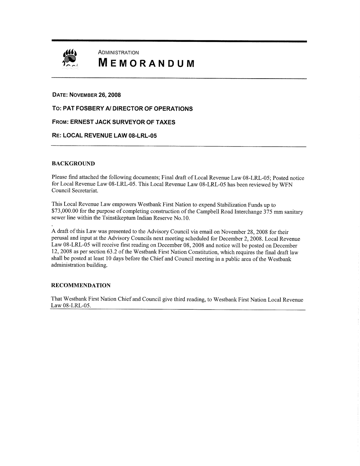

# **ADMINISTRATION** MEMORANDUM

#### DATE: NOVEMBER 28, 2008

To: PAT FOSBERY Al DIRECTOR OF OPERATIONS

#### FROM: ERNEST JACK SURVEYOR of TAXES

#### RE: LOCAL REVENUE LAW 08-LRL-05

#### BACKGROUND

Please find attached the following documents; Final draft of Local Revenue Law 08-LRL-05; Posted notice for Local Revenue Law 08-LRL-05. This Local Revenue Law 08-LRL-05 has been reviewed by WFN Council Secretariat.

This Local Revenue Law empowers westbank First Nation to expend Stabilization Funds up to This Local Revenue Law empowers Westbank First Nation to expend Stabilization Funds up to<br>\$73,000.00 for the purpose of completing construction of the Campbell Road Interchange 375 mm sanitary<br>sewer line within the Tsinsti sewer line within the Tsinstikeptum Indian Reserve No. 10.

A draft of this Law was presented to the Advisory Council via email on November 28, 2008 for their perusal and input at the Advisory Councils next meeting scheduled for December 2, 2008. Local Revenue Law 08-LRL-05 will receive first reading on December 08, 2008 and notice will be posted on December <sup>12</sup> <sup>2008</sup> as per section 63.2 of the westbank First Nation Constitution, which requires the final draft law shall be posted at least <sup>10</sup> days before the Chief and Council meeting in <sup>a</sup> public area of the westbank administration building.

#### RECOMMENDATION

That westbank First Nation Chief and Council give third reading, to westbank First Nation Local Revenue Law 08-LRL-05.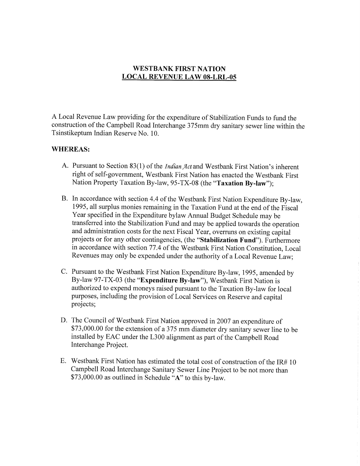# WESTBANK FIRST NATION LOCAL REVENUE LAW 08-LRL-05

A Local Revenue Law providing for the expenditure of Stabilization Funds to fund the construction of the Campbell Road Interchange 375mm dry sanitary sewer line within the Tsinstikeptum Indian Reserve No. 10.

### WHEREAS:

- A. Pursuant to Section 83(1) of the *Indian Act* and Westbank First Nation's inherent right of self-government, Westbank First Nation has enacted the Westbank First Nation Property Taxation By-law, 95-TX-08 (the "Taxation By-law");
- B. In accordance with section 4.4 of the Westbank First Nation Expenditure By -law, 1995, all surplus monies remaining in the Taxation Fund at the end of the Fiscal Year specified in the Expenditure bylaw Annual Budget Schedule may be transferred into the Stabilization Fund and may be applied towards the operation and administration costs for the next Fiscal Year, overruns on existing capital projects or for any other contingencies, (the "Stabilization Fund"). Furthermore in accordance with section 77.4 of the Westbank First Nation Constitution, Local Revenues may only be expended under the authority of <sup>a</sup> Local Revenue Law;
- C. Pursuant to the Westbank First Nation Expenditure By -law, 1995, amended by By-law 97-TX-03 (the "Expenditure By-law"), Westbank First Nation is authorized to expend moneys raised pursuant to the Taxation By -law for local purposes, including the provision of Local Services on Reserve and capital projects;
- D. The Council of Westbank First Nation approved in <sup>2007</sup> an expenditure of \$73,000.00 for the extension of a 375 mm diameter dry sanitary sewer line to be installed by EAC under the L300 alignment as part of the Campbell Road Interchange Project.
- E. Westbank First Nation has estimated the total cost of construction of the IR# 10 Campbell Road Interchange Sanitary Sewer Line Project to be not more than Westbank First Nation has estimated the total cost of co<br>Campbell Road Interchange Sanitary Sewer Line Projec<br>\$73,000.00 as outlined in Schedule "A" to this by-law.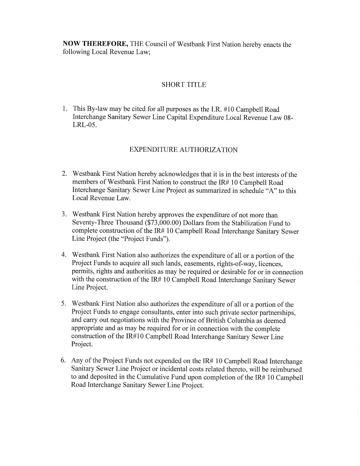Now THEREFORE, THE Council of Westbank First Nation hereby enacts the following Local Revenue Law;

# SHORT TITLE

1. This By -law may be cited for all purposes as the I.R. #10 Campbell Road Interchange Sanitary Sewer Line Capital Expenditure Local Revenue Law 08-LRL-05.

# EXPENDITURE AUTHORIZATION

- 2. Westbank First Nation hereby acknowledges that it is in the best interests of the members of Westbank First Nation to construct the IR# 10 Campbell Road Interchange Sanitary Sewer Line Project as summarized in schedule "A" to this Local Revenue Law.
- 3. Westbank First Nation hereby approves the expenditure of not more than Westbank First Nation hereby approves the expenditure of not more than<br>Seventy-Three Thousand (\$73,000.00) Dollars from the Stabilization Fund to<br>complete construction of the IR# 10 Campbell Road Interchange Sanitary Sey complete construction of the IR# 10 Campbell Road Interchange Sanitary Sewer Line Project (the "Project Funds").
- 4. Westbank First Nation also authorizes the expenditure of all or <sup>a</sup> portion of the Project Funds to acquire all such lands, easements, rights-of-way, licences, permits, rights and authorities as may be required or desirable for or in connection with the construction of the IR# 10 Campbell Road Interchange Sanitary Sewer Line Project.
- 5. Westbank First Nation also authorizes the expenditure of all or <sup>a</sup> portion of the Project Funds to engage consultants, enter into such private sector partnerships, and carry out negotiations with the Province of British Columbia as deemed appropriate and as may be required for or in connection with the complete construction of the IR#10 Campbell Road Interchange Sanitary Sewer Line Project.
- 6. Any of the Project Funds not expended on the IR# 10 Campbell Road Interchange Sanitary Sewer Line Project or incidental costs related thereto, will be reimbursed to and deposited in the Cumulative Fund upon completion of the IR# 10 Campbell Road Interchange Sanitary Sewer Line Project.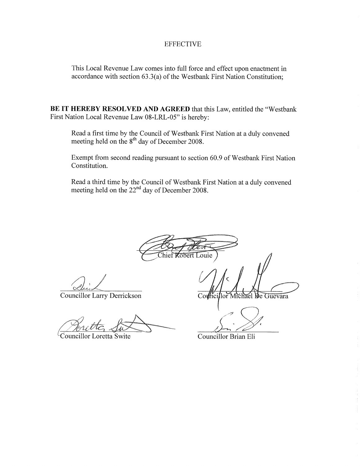## EFFECTIVE

This Local Revenue Law comes into full force and effect upon enactment in This Local Revenue Law comes into full force and effect upon enactment in accordance with section 63.3(a) of the Westbank First Nation Constitution;

BE IT HEREBY RESOLVED AND AGREED that this Law, entitled the "Westbank First Nation Local Revenue Law 08-LRL-05" is hereby:

Read <sup>a</sup> first time by the Council of Westbank First Nation at <sup>a</sup> duly convened meeting held on the  $8<sup>th</sup>$  day of December 2008.

Exempt from second reading pursuant to section 60.9 of Westbank First Nation Constitution.

Read a third time by the Council of Westbank First Nation at a duly convened meeting held on the  $22<sup>nd</sup>$  day of December 2008.

 $\mathcal{F}$ **Cobert Louie** 

t

Councillor Larry Derrickson

Councillor Loretta Swite

Councillor Brian Eli

 $\text{CowMci}$ 

<sup>y</sup>f

lor Michael De Guevara